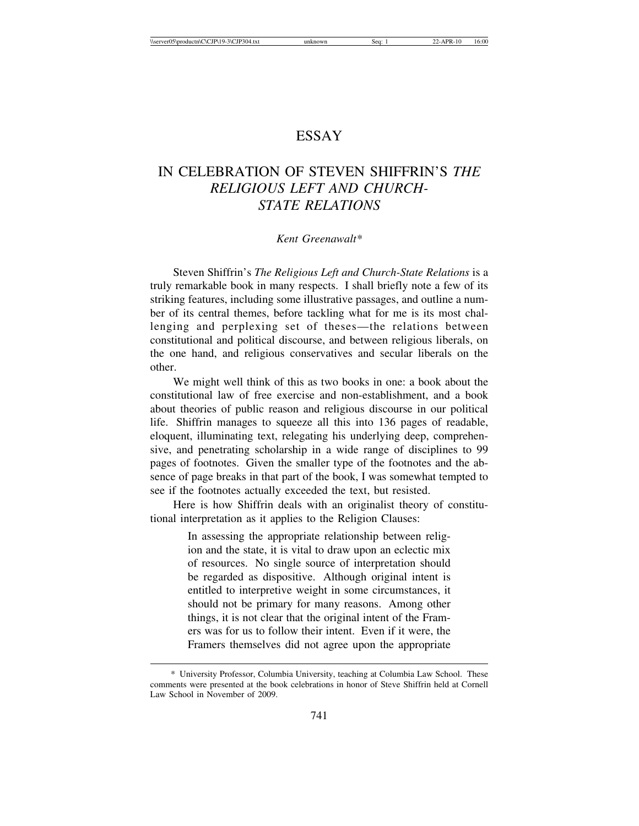## ESSAY

## IN CELEBRATION OF STEVEN SHIFFRIN'S *THE RELIGIOUS LEFT AND CHURCH-STATE RELATIONS*

## *Kent Greenawalt\**

Steven Shiffrin's *The Religious Left and Church-State Relations* is a truly remarkable book in many respects. I shall briefly note a few of its striking features, including some illustrative passages, and outline a number of its central themes, before tackling what for me is its most challenging and perplexing set of theses—the relations between constitutional and political discourse, and between religious liberals, on the one hand, and religious conservatives and secular liberals on the other.

We might well think of this as two books in one: a book about the constitutional law of free exercise and non-establishment, and a book about theories of public reason and religious discourse in our political life. Shiffrin manages to squeeze all this into 136 pages of readable, eloquent, illuminating text, relegating his underlying deep, comprehensive, and penetrating scholarship in a wide range of disciplines to 99 pages of footnotes. Given the smaller type of the footnotes and the absence of page breaks in that part of the book, I was somewhat tempted to see if the footnotes actually exceeded the text, but resisted.

Here is how Shiffrin deals with an originalist theory of constitutional interpretation as it applies to the Religion Clauses:

> In assessing the appropriate relationship between religion and the state, it is vital to draw upon an eclectic mix of resources. No single source of interpretation should be regarded as dispositive. Although original intent is entitled to interpretive weight in some circumstances, it should not be primary for many reasons. Among other things, it is not clear that the original intent of the Framers was for us to follow their intent. Even if it were, the Framers themselves did not agree upon the appropriate

<sup>\*</sup> University Professor, Columbia University, teaching at Columbia Law School. These comments were presented at the book celebrations in honor of Steve Shiffrin held at Cornell Law School in November of 2009.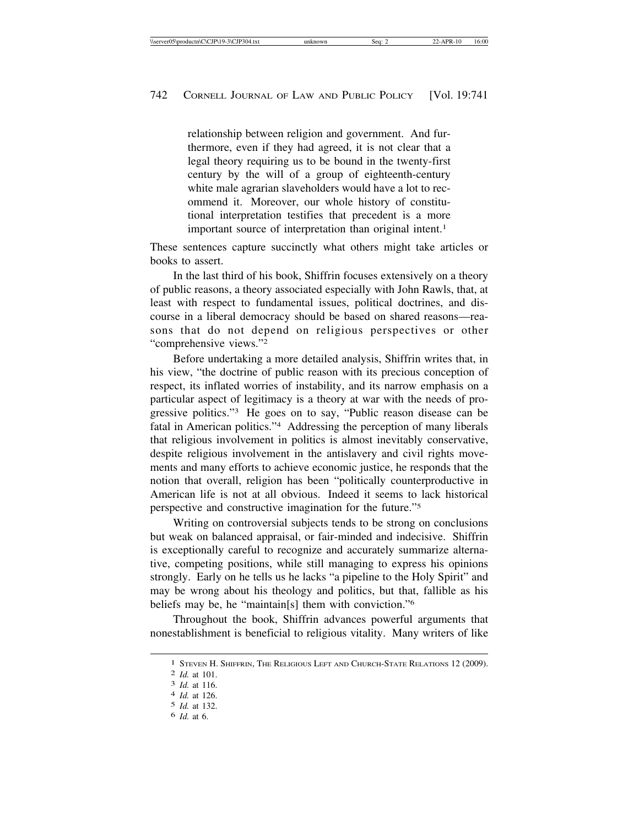relationship between religion and government. And furthermore, even if they had agreed, it is not clear that a legal theory requiring us to be bound in the twenty-first century by the will of a group of eighteenth-century white male agrarian slaveholders would have a lot to recommend it. Moreover, our whole history of constitutional interpretation testifies that precedent is a more important source of interpretation than original intent.<sup>1</sup>

These sentences capture succinctly what others might take articles or books to assert.

In the last third of his book, Shiffrin focuses extensively on a theory of public reasons, a theory associated especially with John Rawls, that, at least with respect to fundamental issues, political doctrines, and discourse in a liberal democracy should be based on shared reasons—reasons that do not depend on religious perspectives or other "comprehensive views."2

Before undertaking a more detailed analysis, Shiffrin writes that, in his view, "the doctrine of public reason with its precious conception of respect, its inflated worries of instability, and its narrow emphasis on a particular aspect of legitimacy is a theory at war with the needs of progressive politics."3 He goes on to say, "Public reason disease can be fatal in American politics."4 Addressing the perception of many liberals that religious involvement in politics is almost inevitably conservative, despite religious involvement in the antislavery and civil rights movements and many efforts to achieve economic justice, he responds that the notion that overall, religion has been "politically counterproductive in American life is not at all obvious. Indeed it seems to lack historical perspective and constructive imagination for the future."5

Writing on controversial subjects tends to be strong on conclusions but weak on balanced appraisal, or fair-minded and indecisive. Shiffrin is exceptionally careful to recognize and accurately summarize alternative, competing positions, while still managing to express his opinions strongly. Early on he tells us he lacks "a pipeline to the Holy Spirit" and may be wrong about his theology and politics, but that, fallible as his beliefs may be, he "maintain[s] them with conviction."6

Throughout the book, Shiffrin advances powerful arguments that nonestablishment is beneficial to religious vitality. Many writers of like

<sup>1</sup> STEVEN H. SHIFFRIN, THE RELIGIOUS LEFT AND CHURCH-STATE RELATIONS 12 (2009). <sup>2</sup> *Id.* at 101. <sup>3</sup> *Id.* at 116. <sup>4</sup> *Id.* at 126.

<sup>5</sup> *Id.* at 132.

<sup>6</sup> *Id.* at 6.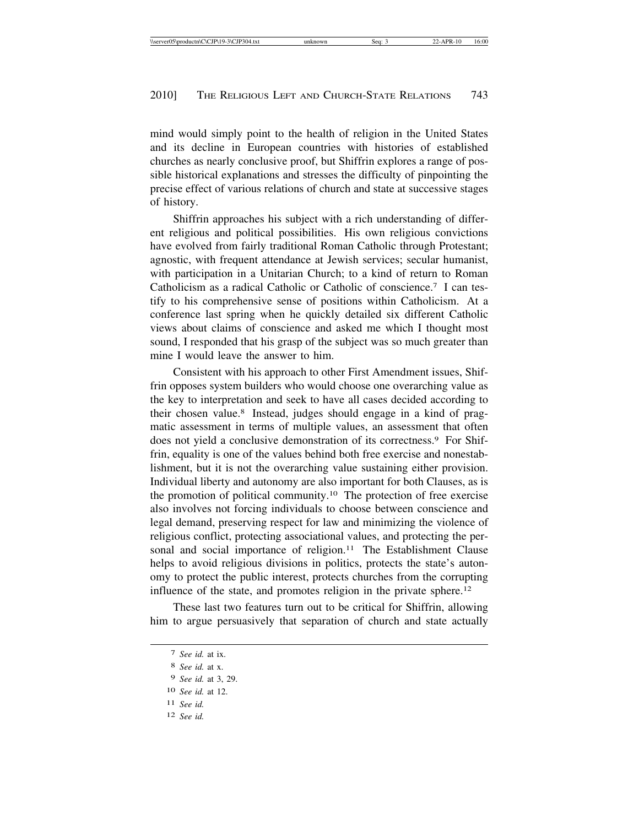mind would simply point to the health of religion in the United States and its decline in European countries with histories of established churches as nearly conclusive proof, but Shiffrin explores a range of possible historical explanations and stresses the difficulty of pinpointing the precise effect of various relations of church and state at successive stages of history.

Shiffrin approaches his subject with a rich understanding of different religious and political possibilities. His own religious convictions have evolved from fairly traditional Roman Catholic through Protestant; agnostic, with frequent attendance at Jewish services; secular humanist, with participation in a Unitarian Church; to a kind of return to Roman Catholicism as a radical Catholic or Catholic of conscience.7 I can testify to his comprehensive sense of positions within Catholicism. At a conference last spring when he quickly detailed six different Catholic views about claims of conscience and asked me which I thought most sound, I responded that his grasp of the subject was so much greater than mine I would leave the answer to him.

Consistent with his approach to other First Amendment issues, Shiffrin opposes system builders who would choose one overarching value as the key to interpretation and seek to have all cases decided according to their chosen value.8 Instead, judges should engage in a kind of pragmatic assessment in terms of multiple values, an assessment that often does not yield a conclusive demonstration of its correctness.9 For Shiffrin, equality is one of the values behind both free exercise and nonestablishment, but it is not the overarching value sustaining either provision. Individual liberty and autonomy are also important for both Clauses, as is the promotion of political community.10 The protection of free exercise also involves not forcing individuals to choose between conscience and legal demand, preserving respect for law and minimizing the violence of religious conflict, protecting associational values, and protecting the personal and social importance of religion.<sup>11</sup> The Establishment Clause helps to avoid religious divisions in politics, protects the state's autonomy to protect the public interest, protects churches from the corrupting influence of the state, and promotes religion in the private sphere.12

These last two features turn out to be critical for Shiffrin, allowing him to argue persuasively that separation of church and state actually

- 11 *See id.*
- 12 *See id.*

<sup>7</sup> *See id.* at ix.

<sup>8</sup> *See id.* at x.

<sup>9</sup> *See id.* at 3, 29.

<sup>10</sup> *See id.* at 12.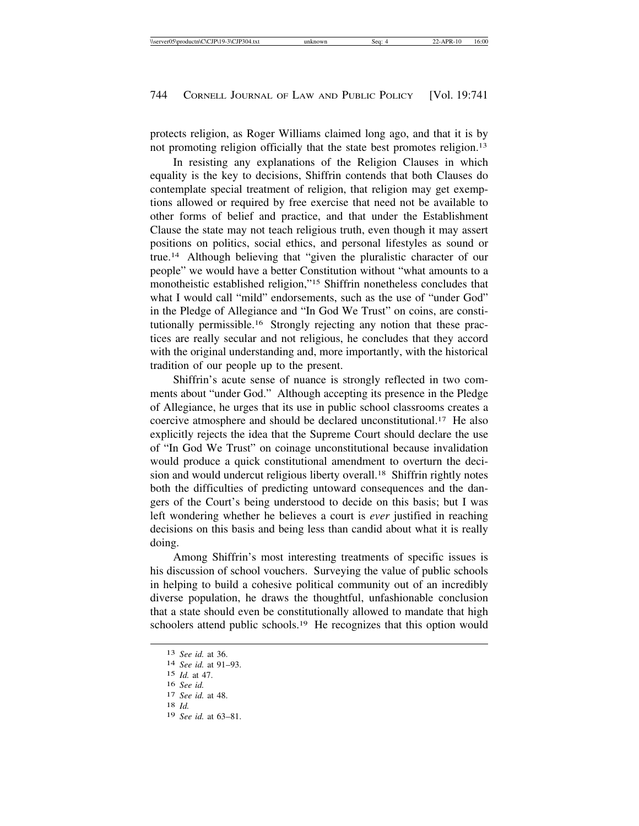protects religion, as Roger Williams claimed long ago, and that it is by not promoting religion officially that the state best promotes religion.<sup>13</sup>

In resisting any explanations of the Religion Clauses in which equality is the key to decisions, Shiffrin contends that both Clauses do contemplate special treatment of religion, that religion may get exemptions allowed or required by free exercise that need not be available to other forms of belief and practice, and that under the Establishment Clause the state may not teach religious truth, even though it may assert positions on politics, social ethics, and personal lifestyles as sound or true.14 Although believing that "given the pluralistic character of our people" we would have a better Constitution without "what amounts to a monotheistic established religion,"15 Shiffrin nonetheless concludes that what I would call "mild" endorsements, such as the use of "under God" in the Pledge of Allegiance and "In God We Trust" on coins, are constitutionally permissible.16 Strongly rejecting any notion that these practices are really secular and not religious, he concludes that they accord with the original understanding and, more importantly, with the historical tradition of our people up to the present.

Shiffrin's acute sense of nuance is strongly reflected in two comments about "under God." Although accepting its presence in the Pledge of Allegiance, he urges that its use in public school classrooms creates a coercive atmosphere and should be declared unconstitutional.17 He also explicitly rejects the idea that the Supreme Court should declare the use of "In God We Trust" on coinage unconstitutional because invalidation would produce a quick constitutional amendment to overturn the decision and would undercut religious liberty overall.<sup>18</sup> Shiffrin rightly notes both the difficulties of predicting untoward consequences and the dangers of the Court's being understood to decide on this basis; but I was left wondering whether he believes a court is *ever* justified in reaching decisions on this basis and being less than candid about what it is really doing.

Among Shiffrin's most interesting treatments of specific issues is his discussion of school vouchers. Surveying the value of public schools in helping to build a cohesive political community out of an incredibly diverse population, he draws the thoughtful, unfashionable conclusion that a state should even be constitutionally allowed to mandate that high schoolers attend public schools.<sup>19</sup> He recognizes that this option would

<sup>13</sup> *See id.* at 36. <sup>14</sup> *See id.* at 91–93.

<sup>15</sup> *Id.* at 47.

<sup>16</sup> *See id.* <sup>17</sup> *See id.* at 48. <sup>18</sup> *Id.*

<sup>19</sup> *See id.* at 63–81.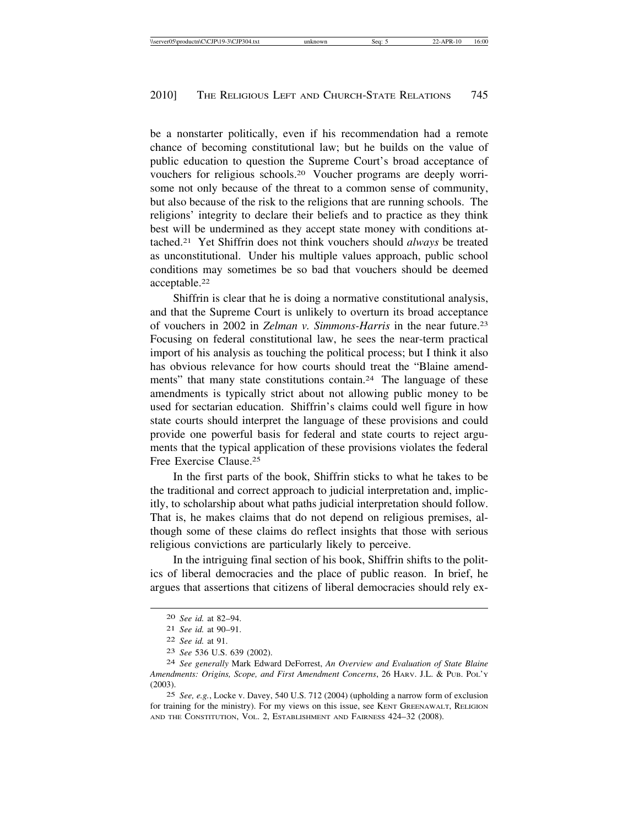be a nonstarter politically, even if his recommendation had a remote chance of becoming constitutional law; but he builds on the value of public education to question the Supreme Court's broad acceptance of vouchers for religious schools.20 Voucher programs are deeply worrisome not only because of the threat to a common sense of community, but also because of the risk to the religions that are running schools. The religions' integrity to declare their beliefs and to practice as they think best will be undermined as they accept state money with conditions attached.21 Yet Shiffrin does not think vouchers should *always* be treated as unconstitutional. Under his multiple values approach, public school conditions may sometimes be so bad that vouchers should be deemed acceptable.22

Shiffrin is clear that he is doing a normative constitutional analysis, and that the Supreme Court is unlikely to overturn its broad acceptance of vouchers in 2002 in *Zelman v. Simmons-Harris* in the near future.23 Focusing on federal constitutional law, he sees the near-term practical import of his analysis as touching the political process; but I think it also has obvious relevance for how courts should treat the "Blaine amendments" that many state constitutions contain.<sup>24</sup> The language of these amendments is typically strict about not allowing public money to be used for sectarian education. Shiffrin's claims could well figure in how state courts should interpret the language of these provisions and could provide one powerful basis for federal and state courts to reject arguments that the typical application of these provisions violates the federal Free Exercise Clause.25

In the first parts of the book, Shiffrin sticks to what he takes to be the traditional and correct approach to judicial interpretation and, implicitly, to scholarship about what paths judicial interpretation should follow. That is, he makes claims that do not depend on religious premises, although some of these claims do reflect insights that those with serious religious convictions are particularly likely to perceive.

In the intriguing final section of his book, Shiffrin shifts to the politics of liberal democracies and the place of public reason. In brief, he argues that assertions that citizens of liberal democracies should rely ex-

25 *See, e.g.*, Locke v. Davey, 540 U.S. 712 (2004) (upholding a narrow form of exclusion for training for the ministry). For my views on this issue, see KENT GREENAWALT, RELIGION AND THE CONSTITUTION, VOL. 2, ESTABLISHMENT AND FAIRNESS 424–32 (2008).

<sup>20</sup> *See id.* at 82–94.

<sup>21</sup> *See id.* at 90–91.

<sup>22</sup> *See id.* at 91.

<sup>23</sup> *See* 536 U.S. 639 (2002).

<sup>24</sup> *See generally* Mark Edward DeForrest, *An Overview and Evaluation of State Blaine Amendments: Origins, Scope, and First Amendment Concerns*, 26 HARV. J.L. & PUB. POL'Y (2003).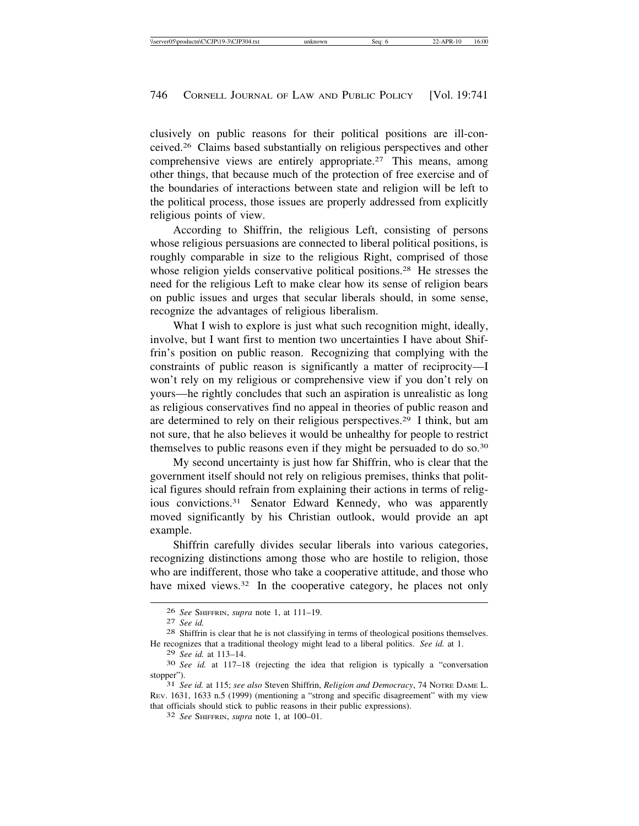clusively on public reasons for their political positions are ill-conceived.26 Claims based substantially on religious perspectives and other comprehensive views are entirely appropriate.27 This means, among other things, that because much of the protection of free exercise and of the boundaries of interactions between state and religion will be left to the political process, those issues are properly addressed from explicitly religious points of view.

According to Shiffrin, the religious Left, consisting of persons whose religious persuasions are connected to liberal political positions, is roughly comparable in size to the religious Right, comprised of those whose religion yields conservative political positions.<sup>28</sup> He stresses the need for the religious Left to make clear how its sense of religion bears on public issues and urges that secular liberals should, in some sense, recognize the advantages of religious liberalism.

What I wish to explore is just what such recognition might, ideally, involve, but I want first to mention two uncertainties I have about Shiffrin's position on public reason. Recognizing that complying with the constraints of public reason is significantly a matter of reciprocity—I won't rely on my religious or comprehensive view if you don't rely on yours—he rightly concludes that such an aspiration is unrealistic as long as religious conservatives find no appeal in theories of public reason and are determined to rely on their religious perspectives.29 I think, but am not sure, that he also believes it would be unhealthy for people to restrict themselves to public reasons even if they might be persuaded to do so.30

My second uncertainty is just how far Shiffrin, who is clear that the government itself should not rely on religious premises, thinks that political figures should refrain from explaining their actions in terms of religious convictions.31 Senator Edward Kennedy, who was apparently moved significantly by his Christian outlook, would provide an apt example.

Shiffrin carefully divides secular liberals into various categories, recognizing distinctions among those who are hostile to religion, those who are indifferent, those who take a cooperative attitude, and those who have mixed views.<sup>32</sup> In the cooperative category, he places not only

<sup>26</sup> *See* SHIFFRIN, *supra* note 1, at 111–19. <sup>27</sup> *See id.* <sup>28</sup> Shiffrin is clear that he is not classifying in terms of theological positions themselves. He recognizes that a traditional theology might lead to a liberal politics. *See id.* at 1.

<sup>29</sup> *See id.* at 113–14. <sup>30</sup> *See id.* at 117–18 (rejecting the idea that religion is typically a "conversation stopper"). <sup>31</sup> *See id.* at 115; *see also* Steven Shiffrin, *Religion and Democracy*, 74 NOTRE DAME L.

REV. 1631, 1633 n.5 (1999) (mentioning a "strong and specific disagreement" with my view that officials should stick to public reasons in their public expressions). <sup>32</sup> *See* SHIFFRIN, *supra* note 1, at 100–01.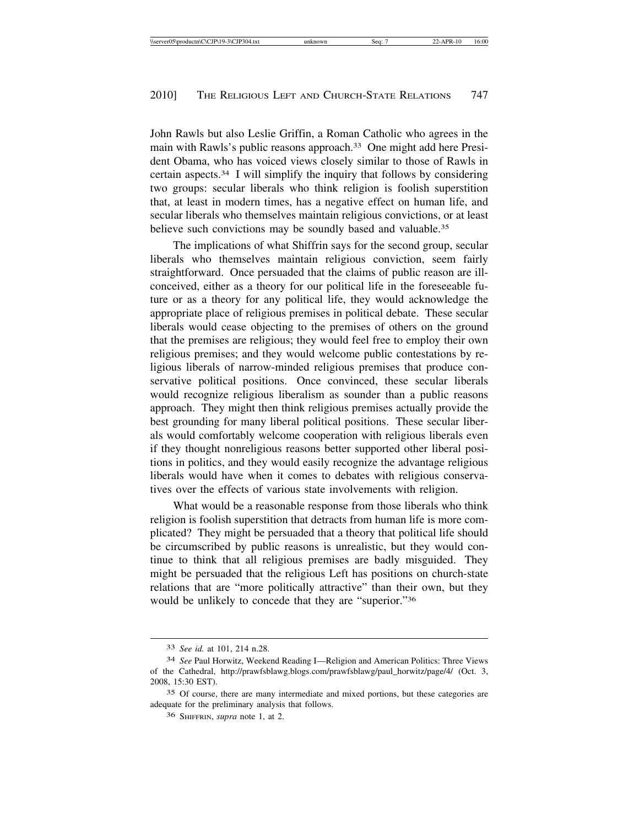John Rawls but also Leslie Griffin, a Roman Catholic who agrees in the main with Rawls's public reasons approach.<sup>33</sup> One might add here President Obama, who has voiced views closely similar to those of Rawls in certain aspects.34 I will simplify the inquiry that follows by considering two groups: secular liberals who think religion is foolish superstition that, at least in modern times, has a negative effect on human life, and secular liberals who themselves maintain religious convictions, or at least believe such convictions may be soundly based and valuable.<sup>35</sup>

The implications of what Shiffrin says for the second group, secular liberals who themselves maintain religious conviction, seem fairly straightforward. Once persuaded that the claims of public reason are illconceived, either as a theory for our political life in the foreseeable future or as a theory for any political life, they would acknowledge the appropriate place of religious premises in political debate. These secular liberals would cease objecting to the premises of others on the ground that the premises are religious; they would feel free to employ their own religious premises; and they would welcome public contestations by religious liberals of narrow-minded religious premises that produce conservative political positions. Once convinced, these secular liberals would recognize religious liberalism as sounder than a public reasons approach. They might then think religious premises actually provide the best grounding for many liberal political positions. These secular liberals would comfortably welcome cooperation with religious liberals even if they thought nonreligious reasons better supported other liberal positions in politics, and they would easily recognize the advantage religious liberals would have when it comes to debates with religious conservatives over the effects of various state involvements with religion.

What would be a reasonable response from those liberals who think religion is foolish superstition that detracts from human life is more complicated? They might be persuaded that a theory that political life should be circumscribed by public reasons is unrealistic, but they would continue to think that all religious premises are badly misguided. They might be persuaded that the religious Left has positions on church-state relations that are "more politically attractive" than their own, but they would be unlikely to concede that they are "superior."36

<sup>33</sup> *See id.* at 101, 214 n.28.

<sup>34</sup> *See* Paul Horwitz, Weekend Reading I—Religion and American Politics: Three Views of the Cathedral, http://prawfsblawg.blogs.com/prawfsblawg/paul\_horwitz/page/4/ (Oct. 3, 2008, 15:30 EST).

<sup>35</sup> Of course, there are many intermediate and mixed portions, but these categories are adequate for the preliminary analysis that follows.

<sup>36</sup> SHIFFRIN, *supra* note 1, at 2.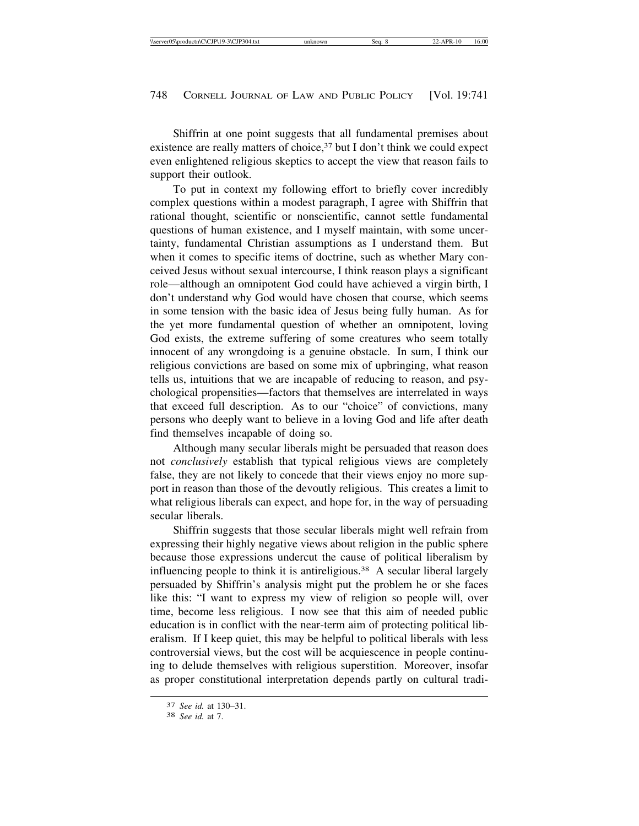Shiffrin at one point suggests that all fundamental premises about existence are really matters of choice,<sup>37</sup> but I don't think we could expect even enlightened religious skeptics to accept the view that reason fails to support their outlook.

To put in context my following effort to briefly cover incredibly complex questions within a modest paragraph, I agree with Shiffrin that rational thought, scientific or nonscientific, cannot settle fundamental questions of human existence, and I myself maintain, with some uncertainty, fundamental Christian assumptions as I understand them. But when it comes to specific items of doctrine, such as whether Mary conceived Jesus without sexual intercourse, I think reason plays a significant role—although an omnipotent God could have achieved a virgin birth, I don't understand why God would have chosen that course, which seems in some tension with the basic idea of Jesus being fully human. As for the yet more fundamental question of whether an omnipotent, loving God exists, the extreme suffering of some creatures who seem totally innocent of any wrongdoing is a genuine obstacle. In sum, I think our religious convictions are based on some mix of upbringing, what reason tells us, intuitions that we are incapable of reducing to reason, and psychological propensities—factors that themselves are interrelated in ways that exceed full description. As to our "choice" of convictions, many persons who deeply want to believe in a loving God and life after death find themselves incapable of doing so.

Although many secular liberals might be persuaded that reason does not *conclusively* establish that typical religious views are completely false, they are not likely to concede that their views enjoy no more support in reason than those of the devoutly religious. This creates a limit to what religious liberals can expect, and hope for, in the way of persuading secular liberals.

Shiffrin suggests that those secular liberals might well refrain from expressing their highly negative views about religion in the public sphere because those expressions undercut the cause of political liberalism by influencing people to think it is antireligious.<sup>38</sup> A secular liberal largely persuaded by Shiffrin's analysis might put the problem he or she faces like this: "I want to express my view of religion so people will, over time, become less religious. I now see that this aim of needed public education is in conflict with the near-term aim of protecting political liberalism. If I keep quiet, this may be helpful to political liberals with less controversial views, but the cost will be acquiescence in people continuing to delude themselves with religious superstition. Moreover, insofar as proper constitutional interpretation depends partly on cultural tradi-

<sup>37</sup> *See id.* at 130–31. <sup>38</sup> *See id.* at 7.